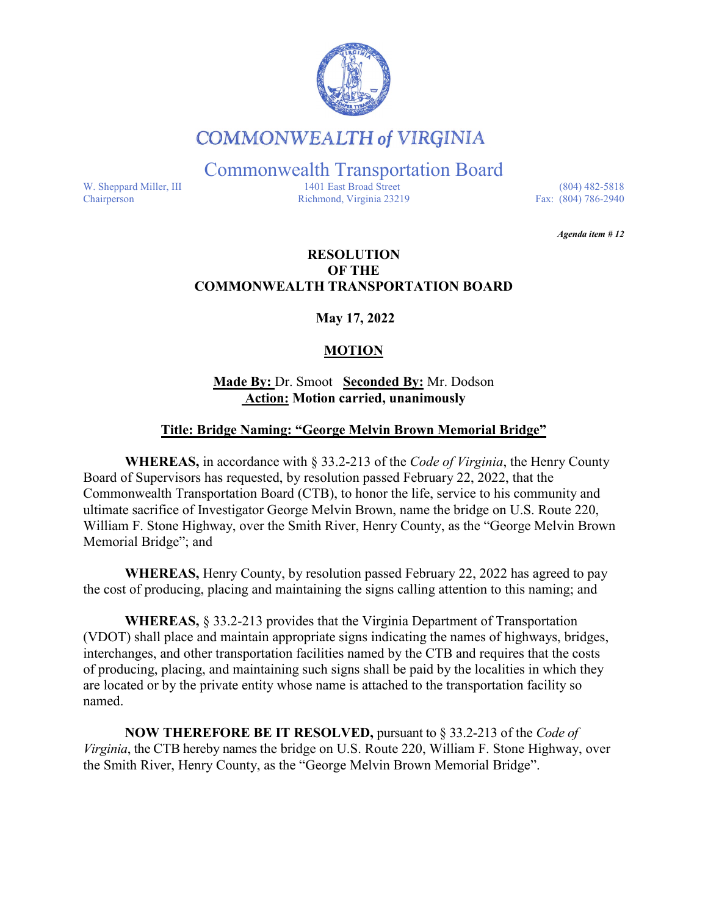

## **COMMONWEALTH of VIRGINIA**

Commonwealth Transportation Board

W. Sheppard Miller, III 1401 East Broad Street (804) 482-5818<br>Chairperson Richmond, Virginia 23219 Fax: (804) 786-2940 Richmond, Virginia 23219

*Agenda item # 12* 

#### **RESOLUTION OF THE COMMONWEALTH TRANSPORTATION BOARD**

**May 17, 2022**

### **MOTION**

#### **Made By:** Dr. Smoot **Seconded By:** Mr. Dodson **Action: Motion carried, unanimously**

#### **Title: Bridge Naming: "George Melvin Brown Memorial Bridge"**

**WHEREAS,** in accordance with § 33.2-213 of the *Code of Virginia*, the Henry County Board of Supervisors has requested, by resolution passed February 22, 2022, that the Commonwealth Transportation Board (CTB), to honor the life, service to his community and ultimate sacrifice of Investigator George Melvin Brown, name the bridge on U.S. Route 220, William F. Stone Highway, over the Smith River, Henry County, as the "George Melvin Brown Memorial Bridge"; and

**WHEREAS,** Henry County, by resolution passed February 22, 2022 has agreed to pay the cost of producing, placing and maintaining the signs calling attention to this naming; and

**WHEREAS,** § 33.2-213 provides that the Virginia Department of Transportation (VDOT) shall place and maintain appropriate signs indicating the names of highways, bridges, interchanges, and other transportation facilities named by the CTB and requires that the costs of producing, placing, and maintaining such signs shall be paid by the localities in which they are located or by the private entity whose name is attached to the transportation facility so named.

**NOW THEREFORE BE IT RESOLVED,** pursuant to § 33.2-213 of the *Code of Virginia*, the CTB hereby names the bridge on U.S. Route 220, William F. Stone Highway, over the Smith River, Henry County, as the "George Melvin Brown Memorial Bridge".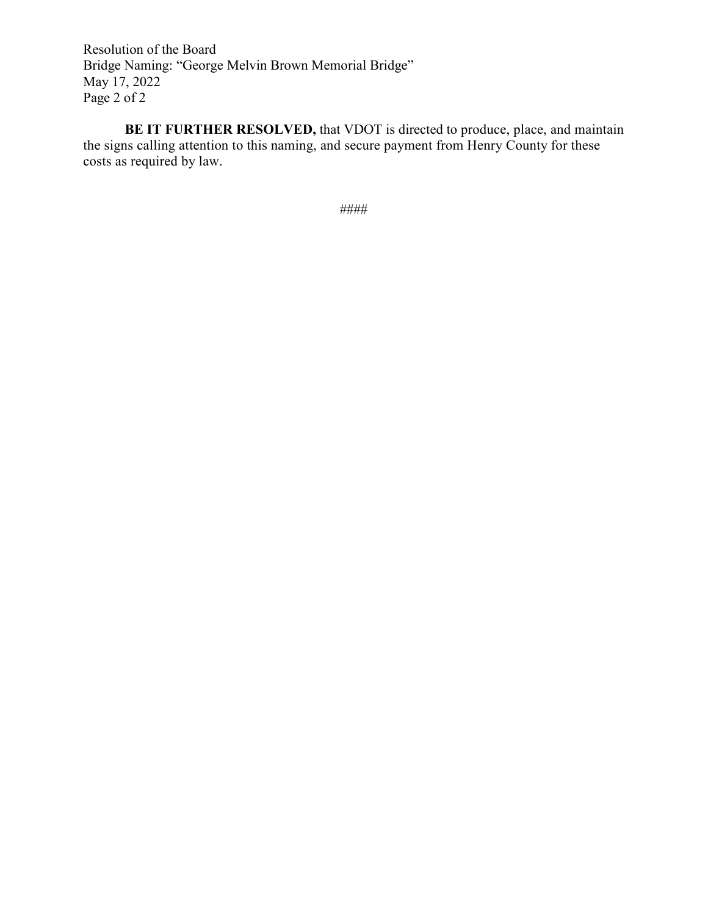Resolution of the Board Bridge Naming: "George Melvin Brown Memorial Bridge" May 17, 2022 Page 2 of 2

**BE IT FURTHER RESOLVED,** that VDOT is directed to produce, place, and maintain the signs calling attention to this naming, and secure payment from Henry County for these costs as required by law.

####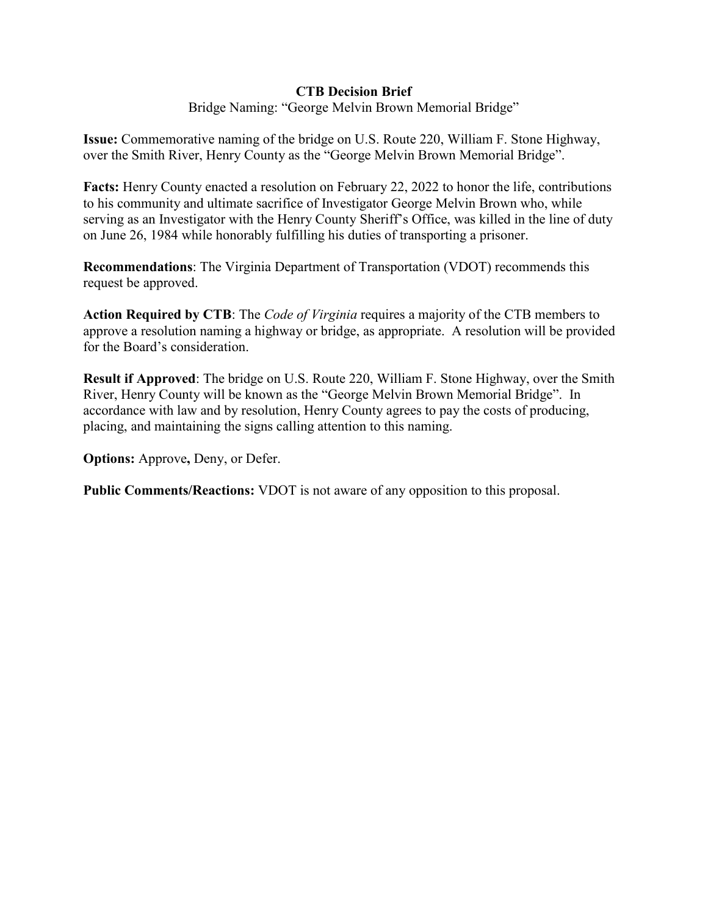#### **CTB Decision Brief**

Bridge Naming: "George Melvin Brown Memorial Bridge"

**Issue:** Commemorative naming of the bridge on U.S. Route 220, William F. Stone Highway, over the Smith River, Henry County as the "George Melvin Brown Memorial Bridge".

**Facts:** Henry County enacted a resolution on February 22, 2022 to honor the life, contributions to his community and ultimate sacrifice of Investigator George Melvin Brown who, while serving as an Investigator with the Henry County Sheriff's Office, was killed in the line of duty on June 26, 1984 while honorably fulfilling his duties of transporting a prisoner.

**Recommendations**: The Virginia Department of Transportation (VDOT) recommends this request be approved.

**Action Required by CTB**: The *Code of Virginia* requires a majority of the CTB members to approve a resolution naming a highway or bridge, as appropriate. A resolution will be provided for the Board's consideration.

**Result if Approved**: The bridge on U.S. Route 220, William F. Stone Highway, over the Smith River, Henry County will be known as the "George Melvin Brown Memorial Bridge". In accordance with law and by resolution, Henry County agrees to pay the costs of producing, placing, and maintaining the signs calling attention to this naming.

**Options:** Approve**,** Deny, or Defer.

**Public Comments/Reactions:** VDOT is not aware of any opposition to this proposal.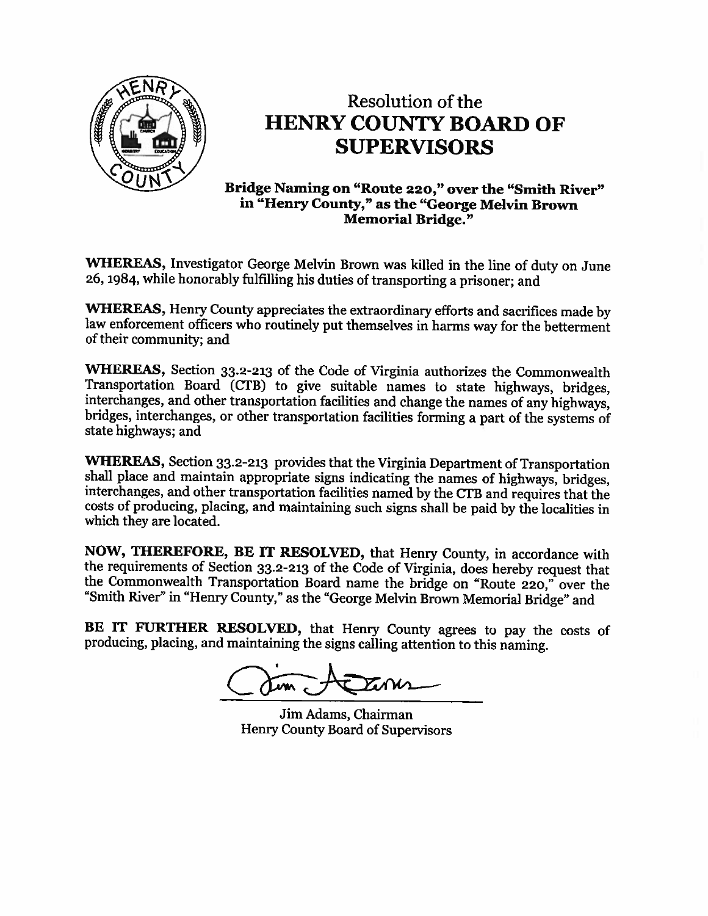

# Resolution of the **HENRY COUNTY BOARD OF SUPERVISORS**

Bridge Naming on "Route 220," over the "Smith River" in "Henry County," as the "George Melvin Brown **Memorial Bridge."** 

WHEREAS, Investigator George Melvin Brown was killed in the line of duty on June 26, 1984, while honorably fulfilling his duties of transporting a prisoner; and

**WHEREAS, Henry County appreciates the extraordinary efforts and sacrifices made by** law enforcement officers who routinely put themselves in harms way for the betterment of their community; and

WHEREAS, Section 33.2-213 of the Code of Virginia authorizes the Commonwealth Transportation Board (CTB) to give suitable names to state highways, bridges, interchanges, and other transportation facilities and change the names of any highways, bridges, interchanges, or other transportation facilities forming a part of the systems of state highways; and

WHEREAS, Section 33.2-213 provides that the Virginia Department of Transportation shall place and maintain appropriate signs indicating the names of highways, bridges, interchanges, and other transportation facilities named by the CTB and requires that the costs of producing, placing, and maintaining such signs shall be paid by the localities in which they are located.

NOW, THEREFORE, BE IT RESOLVED, that Henry County, in accordance with the requirements of Section 33.2-213 of the Code of Virginia, does hereby request that the Commonwealth Transportation Board name the bridge on "Route 220," over the "Smith River" in "Henry County," as the "George Melvin Brown Memorial Bridge" and

BE IT FURTHER RESOLVED, that Henry County agrees to pay the costs of producing, placing, and maintaining the signs calling attention to this naming.

Jim Adams, Chairman Henry County Board of Supervisors